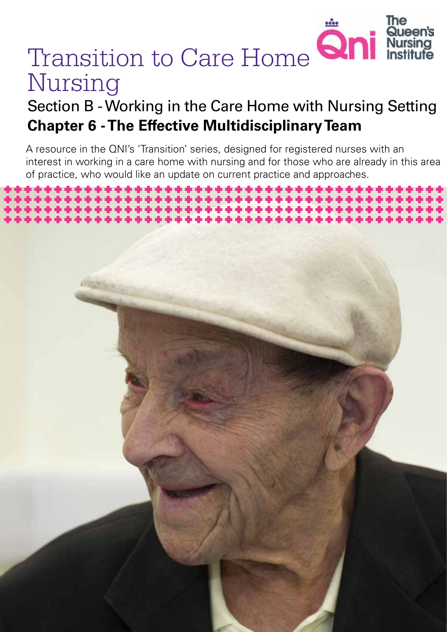

*Transition to Care Home Nursing 1*

# Transition to Care Home **Qni** Nursing

## Section B - Working in the Care Home with Nursing Setting **Chapter 6 - The Effective Multidisciplinary Team**

A resource in the QNI's 'Transition' series, designed for registered nurses with an interest in working in a care home with nursing and for those who are already in this area of practice, who would like an update on current practice and approaches.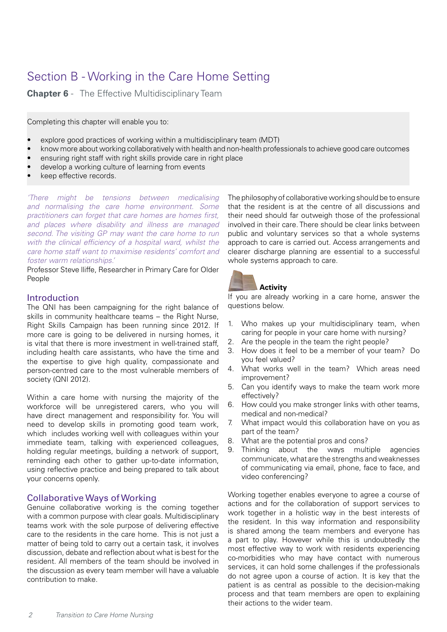## Section B - Working in the Care Home Setting

**Chapter 6** - The Effective Multidisciplinary Team

Completing this chapter will enable you to:

- explore good practices of working within a multidisciplinary team (MDT)
- know more about working collaboratively with health and non-health professionals to achieve good care outcomes
- ensuring right staff with right skills provide care in right place
- develop a working culture of learning from events
- keep effective records.

*'There might be tensions between medicalising and normalising the care home environment. Some practitioners can forget that care homes are homes first, and places where disability and illness are managed second. The visiting GP may want the care home to run*  with the clinical efficiency of a hospital ward, whilst the *care home staff want to maximise residents' comfort and foster warm relationships.'*

Professor Steve lliffe, Researcher in Primary Care for Older People

#### Introduction

The QNI has been campaigning for the right balance of skills in community healthcare teams – the Right Nurse, Right Skills Campaign has been running since 2012. If more care is going to be delivered in nursing homes, it is vital that there is more investment in well-trained staff, including health care assistants, who have the time and the expertise to give high quality, compassionate and person-centred care to the most vulnerable members of society (QNI 2012).

Within a care home with nursing the majority of the workforce will be unregistered carers, who you will have direct management and responsibility for. You will need to develop skills in promoting good team work, which includes working well with colleagues within your immediate team, talking with experienced colleagues, holding regular meetings, building a network of support, reminding each other to gather up-to-date information, using reflective practice and being prepared to talk about your concerns openly.

#### Collaborative Ways of Working

Genuine collaborative working is the coming together with a common purpose with clear goals. Multidisciplinary teams work with the sole purpose of delivering effective care to the residents in the care home. This is not just a matter of being told to carry out a certain task, it involves discussion, debate and reflection about what is best for the resident. All members of the team should be involved in the discussion as every team member will have a valuable contribution to make.

The philosophy of collaborative working should be to ensure that the resident is at the centre of all discussions and their need should far outweigh those of the professional involved in their care. There should be clear links between public and voluntary services so that a whole systems approach to care is carried out. Access arrangements and clearer discharge planning are essential to a successful whole systems approach to care.



#### **Activity**

If you are already working in a care home, answer the questions below.

- 1. Who makes up your multidisciplinary team, when caring for people in your care home with nursing?
- 2. Are the people in the team the right people?
- 3. How does it feel to be a member of your team? Do you feel valued?
- 4. What works well in the team? Which areas need improvement?
- 5. Can you identify ways to make the team work more effectively?
- 6. How could you make stronger links with other teams, medical and non-medical?
- 7. What impact would this collaboration have on you as part of the team?
- 8. What are the potential pros and cons?
- 9. Thinking about the ways multiple agencies communicate, what are the strengths and weaknesses of communicating via email, phone, face to face, and video conferencing?

Working together enables everyone to agree a course of actions and for the collaboration of support services to work together in a holistic way in the best interests of the resident. In this way information and responsibility is shared among the team members and everyone has a part to play. However while this is undoubtedly the most effective way to work with residents experiencing co-morbidities who may have contact with numerous services, it can hold some challenges if the professionals do not agree upon a course of action. It is key that the patient is as central as possible to the decision-making process and that team members are open to explaining their actions to the wider team.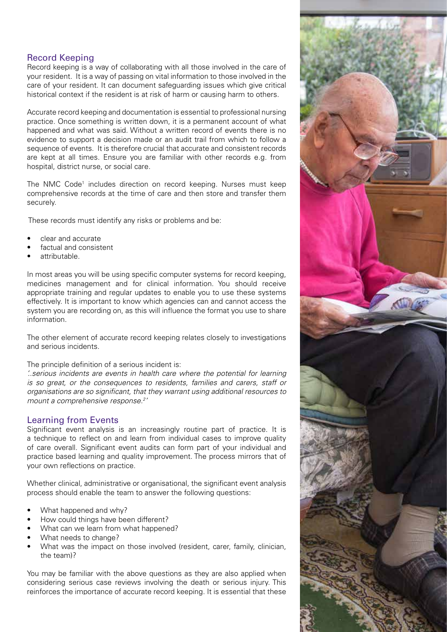### Record Keeping

Record keeping is a way of collaborating with all those involved in the care of your resident. It is a way of passing on vital information to those involved in the care of your resident. It can document safeguarding issues which give critical historical context if the resident is at risk of harm or causing harm to others.

Accurate record keeping and documentation is essential to professional nursing practice. Once something is written down, it is a permanent account of what happened and what was said. Without a written record of events there is no evidence to support a decision made or an audit trail from which to follow a sequence of events. It is therefore crucial that accurate and consistent records are kept at all times. Ensure you are familiar with other records e.g. from hospital, district nurse, or social care.

The NMC Code<sup>1</sup> includes direction on record keeping. Nurses must keep comprehensive records at the time of care and then store and transfer them securely.

These records must identify any risks or problems and be:

- clear and accurate
- factual and consistent
- attributable.

In most areas you will be using specific computer systems for record keeping, medicines management and for clinical information. You should receive appropriate training and regular updates to enable you to use these systems effectively. It is important to know which agencies can and cannot access the system you are recording on, as this will influence the format you use to share information.

The other element of accurate record keeping relates closely to investigations and serious incidents.

The principle definition of a serious incident is:

*'..serious incidents are events in health care where the potential for learning is so great, or the consequences to residents, families and carers, staff or organisations are so significant, that they warrant using additional resources to mount a comprehensive response.2 '* 

#### Learning from Events

Significant event analysis is an increasingly routine part of practice. It is a technique to reflect on and learn from individual cases to improve quality of care overall. Significant event audits can form part of your individual and practice based learning and quality improvement. The process mirrors that of your own reflections on practice.

Whether clinical, administrative or organisational, the significant event analysis process should enable the team to answer the following questions:

- What happened and why?
- How could things have been different?
- What can we learn from what happened?
- What needs to change?
- What was the impact on those involved (resident, carer, family, clinician, the team)?

You may be familiar with the above questions as they are also applied when considering serious case reviews involving the death or serious injury. This reinforces the importance of accurate record keeping. It is essential that these

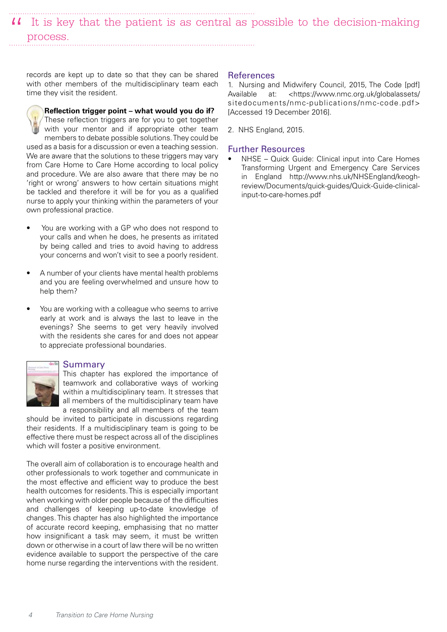It is key that the patient is as central as possible to the decision-making " process.

records are kept up to date so that they can be shared with other members of the multidisciplinary team each time they visit the resident.

**Reflection trigger point – what would you do if?**  These reflection triggers are for you to get together with your mentor and if appropriate other team members to debate possible solutions. They could be used as a basis for a discussion or even a teaching session. We are aware that the solutions to these triggers may vary from Care Home to Care Home according to local policy and procedure. We are also aware that there may be no 'right or wrong' answers to how certain situations might be tackled and therefore it will be for you as a qualified nurse to apply your thinking within the parameters of your own professional practice.

- You are working with a GP who does not respond to your calls and when he does, he presents as irritated by being called and tries to avoid having to address your concerns and won't visit to see a poorly resident.
- A number of your clients have mental health problems and you are feeling overwhelmed and unsure how to help them?
- You are working with a colleague who seems to arrive early at work and is always the last to leave in the evenings? She seems to get very heavily involved with the residents she cares for and does not appear to appreciate professional boundaries.

#### Summary

This chapter has explored the importance of teamwork and collaborative ways of working within a multidisciplinary team. It stresses that all members of the multidisciplinary team have a responsibility and all members of the team

should be invited to participate in discussions regarding their residents. If a multidisciplinary team is going to be effective there must be respect across all of the disciplines which will foster a positive environment.

The overall aim of collaboration is to encourage health and other professionals to work together and communicate in the most effective and efficient way to produce the best health outcomes for residents. This is especially important when working with older people because of the difficulties and challenges of keeping up-to-date knowledge of changes. This chapter has also highlighted the importance of accurate record keeping, emphasising that no matter how insignificant a task may seem, it must be written down or otherwise in a court of law there will be no written evidence available to support the perspective of the care home nurse regarding the interventions with the resident.

#### References

1. Nursing and Midwifery Council, 2015, The Code [pdf] Available at: <https://www.nmc.org.uk/globalassets/ sitedocuments/nmc-publications/nmc-code.pdf> [Accessed 19 December 2016].

2. NHS England, 2015.

#### Further Resources

NHSE - Quick Guide: Clinical input into Care Homes Transforming Urgent and Emergency Care Services in England http://www.nhs.uk/NHSEngland/keoghreview/Documents/quick-guides/Quick-Guide-clinicalinput-to-care-homes.pdf